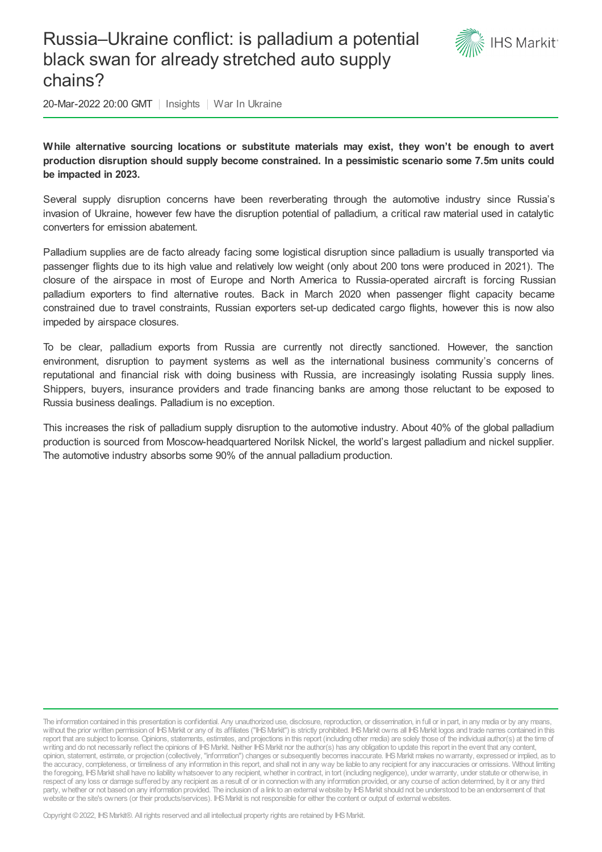# Russia–Ukraine conflict: is palladium a potential black swan for already stretched auto supply chains?



20-Mar-2022 20:00 GMT | Insights | War In Ukraine

**While alternative sourcing locations or substitute materials may exist, they won't be enough to avert production disruption should supply become constrained. In a pessimistic scenario some 7.5m units could be impacted in 2023.**

Several supply disruption concerns have been reverberating through the automotive industry since Russia's invasion of Ukraine, however few have the disruption potential of palladium, a critical raw material used in catalytic converters for emission abatement.

Palladium supplies are de facto already facing some logistical disruption since palladium is usually transported via passenger flights due to its high value and relatively low weight (only about 200 tons were produced in 2021). The closure of the airspace in most of Europe and North America to Russia-operated aircraft is forcing Russian palladium exporters to find alternative routes. Back in March 2020 when passenger flight capacity became constrained due to travel constraints, Russian exporters set-up dedicated cargo flights, however this is now also impeded by airspace closures.

To be clear, palladium exports from Russia are currently not directly sanctioned. However, the sanction environment, disruption to payment systems as well as the international business community's concerns of reputational and financial risk with doing business with Russia, are increasingly isolating Russia supply lines. Shippers, buyers, insurance providers and trade financing banks are among those reluctant to be exposed to Russia business dealings. Palladium is no exception.

This increases the risk of palladium supply disruption to the automotive industry. About 40% of the global palladium production is sourced from Moscow-headquartered Norilsk Nickel, the world's largest palladium and nickel supplier. The automotive industry absorbs some 90% of the annual palladium production.

The information contained in this presentation is confidential. Any unauthorized use, disclosure, reproduction, or dissemination, in full or in part, in any media or by any means, without the prior written permission of IHS Markit or any of its affiliates ("IHS Markit") is strictly prohibited. IHS Markit owns all IHS Markit logos and trade names contained in this report that are subject to license. Opinions, statements, estimates, and projections in this report (including other media) are solely those of the individual author(s) at the time of writing and do not necessarily reflect the opinions of IHS Markit. Neither IHS Markit nor the author(s) has any obligation to update this report in the event that any content, opinion, statement, estimate, or projection (collectively, "information") changes or subsequently becomes inaccurate. IHSMarkit makes nowarranty, expressed or implied, as to the accuracy, completeness, or timeliness of any information in this report, and shall not in any way be liable to any recipient for any inaccuracies or omissions. Without limiting the foregoing, IHSMarkit shall have no liability whatsoever to any recipient, whether in contract, in tort (including negligence), under warranty, under statute or otherwise, in respect of any loss or damage suffered by any recipient as a result of or in connectionwith any information provided, or any course of action determined, by it or any third party, whether or not based on any information provided. The inclusion of a link to an external website by IHS Markit should not be understood to be an endorsement of that website or the site's owners (or their products/services). IHS Markit is not responsible for either the content or output of external websites.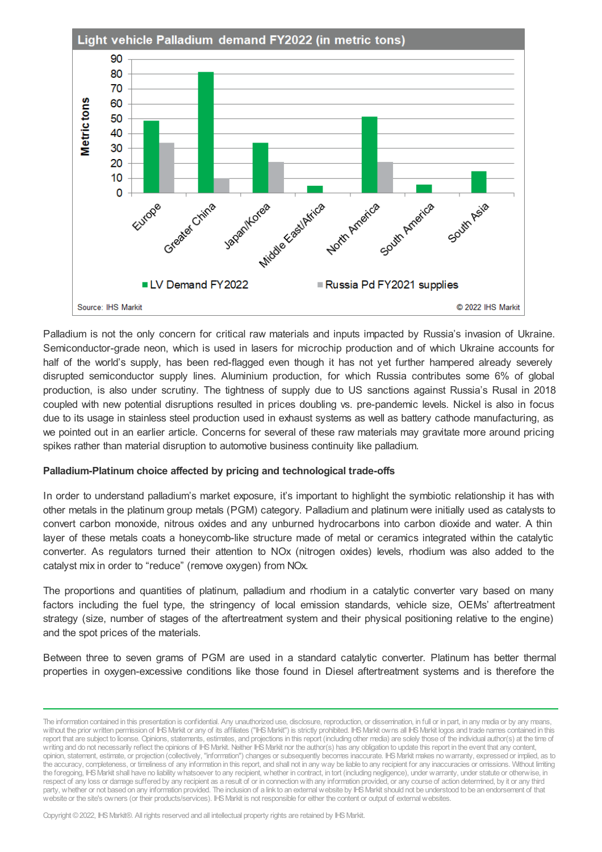

Palladium is not the only concern for critical raw materials and inputs impacted by Russia's invasion of Ukraine. Semiconductor-grade neon, which is used in lasers for microchip production and of which Ukraine accounts for half of the world's supply, has been red-flagged even though it has not yet further hampered already severely disrupted semiconductor supply lines. Aluminium production, for which Russia contributes some 6% of global production, is also under scrutiny. The tightness of supply due to US sanctions against Russia's Rusal in 2018 coupled with new potential disruptions resulted in prices doubling vs. pre-pandemic levels. Nickel is also in focus due to its usage in stainless steel production used in exhaust systems as well as battery cathode manufacturing, as we pointed out in an earlier article. Concerns for several of these raw materials may gravitate more around pricing spikes rather than material disruption to automotive business continuity like palladium.

#### **Palladium-Platinum choice affected by pricing and technological trade-offs**

In order to understand palladium's market exposure, it's important to highlight the symbiotic relationship it has with other metals in the platinum group metals (PGM) category. Palladium and platinum were initially used as catalysts to convert carbon monoxide, nitrous oxides and any unburned hydrocarbons into carbon dioxide and water. A thin layer of these metals coats a honeycomb-like structure made of metal or ceramics integrated within the catalytic converter. As regulators turned their attention to NOx (nitrogen oxides) levels, rhodium was also added to the catalyst mix in order to "reduce" (remove oxygen) from NOx.

The proportions and quantities of platinum, palladium and rhodium in a catalytic converter vary based on many factors including the fuel type, the stringency of local emission standards, vehicle size, OEMs' aftertreatment strategy (size, number of stages of the aftertreatment system and their physical positioning relative to the engine) and the spot prices of the materials.

Between three to seven grams of PGM are used in a standard catalytic converter. Platinum has better thermal properties in oxygen-excessive conditions like those found in Diesel aftertreatment systems and is therefore the

The information contained in this presentation is confidential. Any unauthorized use, disclosure, reproduction, or dissemination, in full or in part, in any media or by any means, without the prior written permission of IHS Markit or any of its affiliates ("IHS Markit") is strictly prohibited. IHS Markit owns all IHS Markit logos and trade names contained in this report that are subject to license. Opinions, statements, estimates, and projections in this report (including other media) are solely those of the individual author(s) at the time of writing and do not necessarily reflect the opinions of IHS Markit. Neither IHS Markit nor the author(s) has any obligation to update this report in the event that any content, opinion, statement, estimate, or projection (collectively, "information") changes or subsequently becomes inaccurate. IHSMarkit makes nowarranty, expressed or implied, as to the accuracy, completeness, or timeliness of any information in this report, and shall not in any way be liable to any recipient for any inaccuracies or omissions. Without limiting the foregoing, IHSMarkit shall have no liability whatsoever to any recipient, whether in contract, in tort (including negligence), under warranty, under statute or otherwise, in respect of any loss or damage suffered by any recipient as a result of or in connectionwith any information provided, or any course of action determined, by it or any third party, whether or not based on any information provided. The inclusion of a link to an external website by IHS Markit should not be understood to be an endorsement of that website or the site's owners (or their products/services). IHS Markit is not responsible for either the content or output of external websites.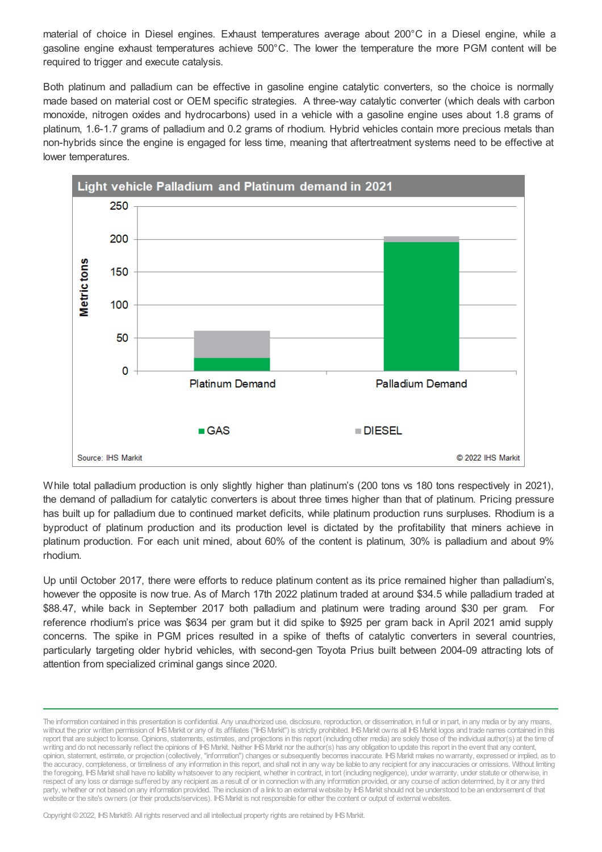material of choice in Diesel engines. Exhaust temperatures average about 200°C in a Diesel engine, while a gasoline engine exhaust temperatures achieve 500°C. The lower the temperature the more PGM content will be required to trigger and execute catalysis.

Both platinum and palladium can be effective in gasoline engine catalytic converters, so the choice is normally made based on material cost or OEM specific strategies. A three-way catalytic converter (which deals with carbon monoxide, nitrogen oxides and hydrocarbons) used in a vehicle with a gasoline engine uses about 1.8 grams of platinum, 1.6-1.7 grams of palladium and 0.2 grams of rhodium. Hybrid vehicles contain more precious metals than non-hybrids since the engine is engaged for less time, meaning that aftertreatment systems need to be effective at lower temperatures.



While total palladium production is only slightly higher than platinum's (200 tons vs 180 tons respectively in 2021), the demand of palladium for catalytic converters is about three times higher than that of platinum. Pricing pressure has built up for palladium due to continued market deficits, while platinum production runs surpluses. Rhodium is a byproduct of platinum production and its production level is dictated by the profitability that miners achieve in platinum production. For each unit mined, about 60% of the content is platinum, 30% is palladium and about 9% rhodium.

Up until October 2017, there were efforts to reduce platinum content as its price remained higher than palladium's, however the opposite is now true. As of March 17th 2022 platinum traded at around \$34.5 while palladium traded at \$88.47, while back in September 2017 both palladium and platinum were trading around \$30 per gram. For reference rhodium's price was \$634 per gram but it did spike to \$925 per gram back in April 2021 amid supply concerns. The spike in PGM prices resulted in a spike of thefts of catalytic converters in several countries, particularly targeting older hybrid vehicles, with second-gen Toyota Prius built between 2004-09 attracting lots of attention from specialized criminal gangs since 2020.

The information contained in this presentation is confidential. Any unauthorized use, disclosure, reproduction, or dissemination, in full or in part, in any media or by any means, without the prior written permission of IHS Markit or any of its affiliates ("IHS Markit") is strictly prohibited. IHS Markit owns all IHS Markit logos and trade names contained in this report that are subject to license. Opinions, statements, estimates, and projections in this report (including other media) are solely those of the individual author(s) at the time of writing and do not necessarily reflect the opinions of IHS Markit. Neither IHS Markit nor the author(s) has any obligation to update this report in the event that any content, opinion, statement, estimate, or projection (collectively, "information") changes or subsequently becomes inaccurate. IHSMarkit makes nowarranty, expressed or implied, as to the accuracy, completeness, or timeliness of any information in this report, and shall not in any way be liable to any recipient for any inaccuracies or omissions. Without limiting the foregoing, IHSMarkit shall have no liability whatsoever to any recipient, whether in contract, in tort (including negligence), under warranty, under statute or otherwise, in respect of any loss or damage suffered by any recipient as a result of or in connectionwith any information provided, or any course of action determined, by it or any third party, whether or not based on any information provided. The inclusion of a link to an external website by IHS Markit should not be understood to be an endorsement of that website or the site's owners (or their products/services). IHS Markit is not responsible for either the content or output of external websites.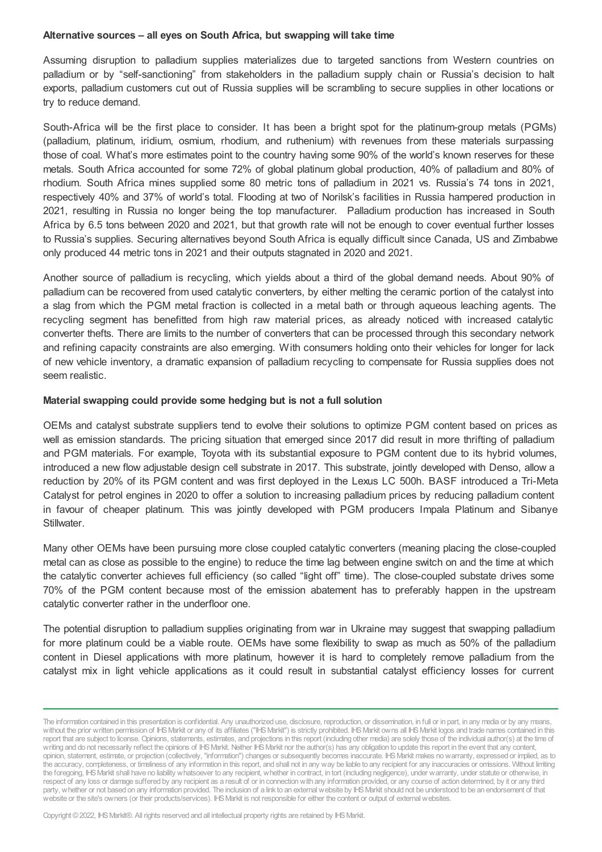### **Alternative sources – all eyes on South Africa, but swapping will take time**

Assuming disruption to palladium supplies materializes due to targeted sanctions from Western countries on palladium or by "self-sanctioning" from stakeholders in the palladium supply chain or Russia's decision to halt exports, palladium customers cut out of Russia supplies will be scrambling to secure supplies in other locations or try to reduce demand.

South-Africa will be the first place to consider. It has been a bright spot for the platinum-group metals (PGMs) (palladium, platinum, iridium, osmium, rhodium, and ruthenium) with revenues from these materials surpassing those of coal. What's more estimates point to the country having some 90% of the world's known reserves for these metals. South Africa accounted for some 72% of global platinum global production, 40% of palladium and 80% of rhodium. South Africa mines supplied some 80 metric tons of palladium in 2021 vs. Russia's 74 tons in 2021, respectively 40% and 37% of world's total. Flooding at two of Norilsk's facilities in Russia hampered production in 2021, resulting in Russia no longer being the top manufacturer. Palladium production has increased in South Africa by 6.5 tons between 2020 and 2021, but that growth rate will not be enough to cover eventual further losses to Russia's supplies. Securing alternatives beyond South Africa is equally difficult since Canada, US and Zimbabwe only produced 44 metric tons in 2021 and their outputs stagnated in 2020 and 2021.

Another source of palladium is recycling, which yields about a third of the global demand needs. About 90% of palladium can be recovered from used catalytic converters, by either melting the ceramic portion of the catalyst into a slag from which the PGM metal fraction is collected in a metal bath or through aqueous leaching agents. The recycling segment has benefitted from high raw material prices, as already noticed with increased catalytic converter thefts. There are limits to the number of converters that can be processed through this secondary network and refining capacity constraints are also emerging. With consumers holding onto their vehicles for longer for lack of new vehicle inventory, a dramatic expansion of palladium recycling to compensate for Russia supplies does not seem realistic.

### **Material swapping could provide some hedging but is not a full solution**

OEMs and catalyst substrate suppliers tend to evolve their solutions to optimize PGM content based on prices as well as emission standards. The pricing situation that emerged since 2017 did result in more thrifting of palladium and PGM materials. For example, Toyota with its substantial exposure to PGM content due to its hybrid volumes, introduced a new flow adjustable design cell substrate in 2017. This substrate, jointly developed with Denso, allow a reduction by 20% of its PGM content and was first deployed in the Lexus LC 500h. BASF introduced a Tri-Meta Catalyst for petrol engines in 2020 to offer a solution to increasing palladium prices by reducing palladium content in favour of cheaper platinum. This was jointly developed with PGM producers Impala Platinum and Sibanye Stillwater.

Many other OEMs have been pursuing more close coupled catalytic converters (meaning placing the close-coupled metal can as close as possible to the engine) to reduce the time lag between engine switch on and the time at which the catalytic converter achieves full efficiency (so called "light off" time). The close-coupled substate drives some 70% of the PGM content because most of the emission abatement has to preferably happen in the upstream catalytic converter rather in the underfloor one.

The potential disruption to palladium supplies originating from war in Ukraine may suggest that swapping palladium for more platinum could be a viable route. OEMs have some flexibility to swap as much as 50% of the palladium content in Diesel applications with more platinum, however it is hard to completely remove palladium from the catalyst mix in light vehicle applications as it could result in substantial catalyst efficiency losses for current

The information contained in this presentation is confidential. Any unauthorized use, disclosure, reproduction, or dissemination, in full or in part, in any media or by any means, without the prior written permission of IHS Markit or any of its affiliates ("IHS Markit") is strictly prohibited. IHS Markit owns all IHS Markit logos and trade names contained in this report that are subject to license. Opinions, statements, estimates, and projections in this report (including other media) are solely those of the individual author(s) at the time of writing and do not necessarily reflect the opinions of IHS Markit. Neither IHS Markit nor the author(s) has any obligation to update this report in the event that any content, opinion, statement, estimate, or projection (collectively, "information") changes or subsequently becomes inaccurate. IHSMarkit makes nowarranty, expressed or implied, as to the accuracy, completeness, or timeliness of any information in this report, and shall not in any way be liable to any recipient for any inaccuracies or omissions. Without limiting the foregoing, IHSMarkit shall have no liability whatsoever to any recipient, whether in contract, in tort (including negligence), under warranty, under statute or otherwise, in respect of any loss or damage suffered by any recipient as a result of or in connectionwith any information provided, or any course of action determined, by it or any third party, whether or not based on any information provided. The inclusion of a link to an external website by IHS Markit should not be understood to be an endorsement of that website or the site's owners (or their products/services). IHS Markit is not responsible for either the content or output of external websites.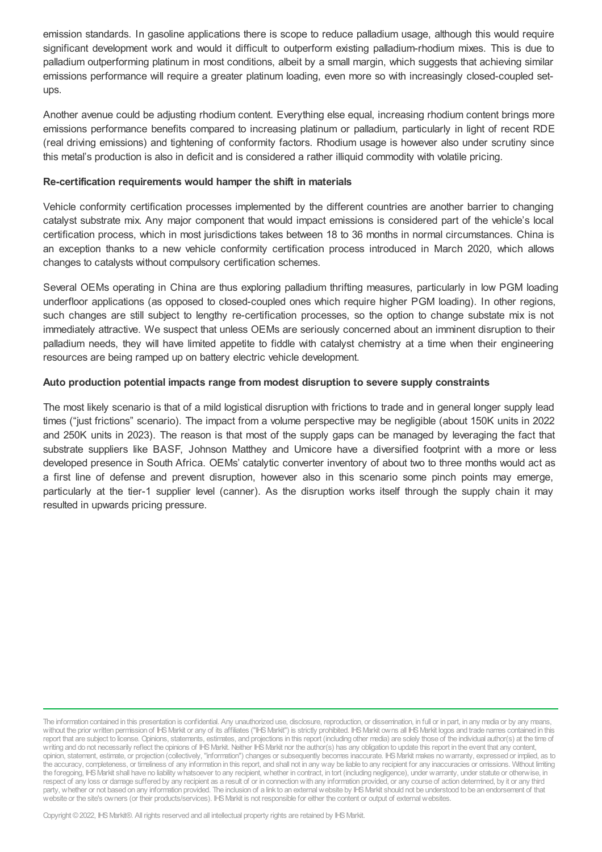emission standards. In gasoline applications there is scope to reduce palladium usage, although this would require significant development work and would it difficult to outperform existing palladium-rhodium mixes. This is due to palladium outperforming platinum in most conditions, albeit by a small margin, which suggests that achieving similar emissions performance will require a greater platinum loading, even more so with increasingly closed-coupled setups.

Another avenue could be adjusting rhodium content. Everything else equal, increasing rhodium content brings more emissions performance benefits compared to increasing platinum or palladium, particularly in light of recent RDE (real driving emissions) and tightening of conformity factors. Rhodium usage is however also under scrutiny since this metal's production is also in deficit and is considered a rather illiquid commodity with volatile pricing.

## **Re-certification requirements would hamper the shift in materials**

Vehicle conformity certification processes implemented by the different countries are another barrier to changing catalyst substrate mix. Any major component that would impact emissions is considered part of the vehicle's local certification process, which in most jurisdictions takes between 18 to 36 months in normal circumstances. China is an exception thanks to a new vehicle conformity certification process introduced in March 2020, which allows changes to catalysts without compulsory certification schemes.

Several OEMs operating in China are thus exploring palladium thrifting measures, particularly in low PGM loading underfloor applications (as opposed to closed-coupled ones which require higher PGM loading). In other regions, such changes are still subject to lengthy re-certification processes, so the option to change substate mix is not immediately attractive. We suspect that unless OEMs are seriously concerned about an imminent disruption to their palladium needs, they will have limited appetite to fiddle with catalyst chemistry at a time when their engineering resources are being ramped up on battery electric vehicle development.

### **Auto production potential impacts range from modest disruption to severe supply constraints**

The most likely scenario is that of a mild logistical disruption with frictions to trade and in general longer supply lead times ("just frictions" scenario). The impact from a volume perspective may be negligible (about 150K units in 2022 and 250K units in 2023). The reason is that most of the supply gaps can be managed by leveraging the fact that substrate suppliers like BASF, Johnson Matthey and Umicore have a diversified footprint with a more or less developed presence in South Africa. OEMs' catalytic converter inventory of about two to three months would act as a first line of defense and prevent disruption, however also in this scenario some pinch points may emerge, particularly at the tier-1 supplier level (canner). As the disruption works itself through the supply chain it may resulted in upwards pricing pressure.

The information contained in this presentation is confidential. Any unauthorized use, disclosure, reproduction, or dissemination, in full or in part, in any media or by any means, without the prior written permission of IHS Markit or any of its affiliates ("IHS Markit") is strictly prohibited. IHS Markit owns all IHS Markit logos and trade names contained in this report that are subject to license. Opinions, statements, estimates, and projections in this report (including other media) are solely those of the individual author(s) at the time of writing and do not necessarily reflect the opinions of IHS Markit. Neither IHS Markit nor the author(s) has any obligation to update this report in the event that any content, opinion, statement, estimate, or projection (collectively, "information") changes or subsequently becomes inaccurate. IHSMarkit makes nowarranty, expressed or implied, as to the accuracy, completeness, or timeliness of any information in this report, and shall not in any way be liable to any recipient for any inaccuracies or omissions. Without limiting the foregoing, IHSMarkit shall have no liability whatsoever to any recipient, whether in contract, in tort (including negligence), under warranty, under statute or otherwise, in respect of any loss or damage suffered by any recipient as a result of or in connectionwith any information provided, or any course of action determined, by it or any third party, whether or not based on any information provided. The inclusion of a link to an external website by IHS Markit should not be understood to be an endorsement of that website or the site's owners (or their products/services). IHS Markit is not responsible for either the content or output of external websites.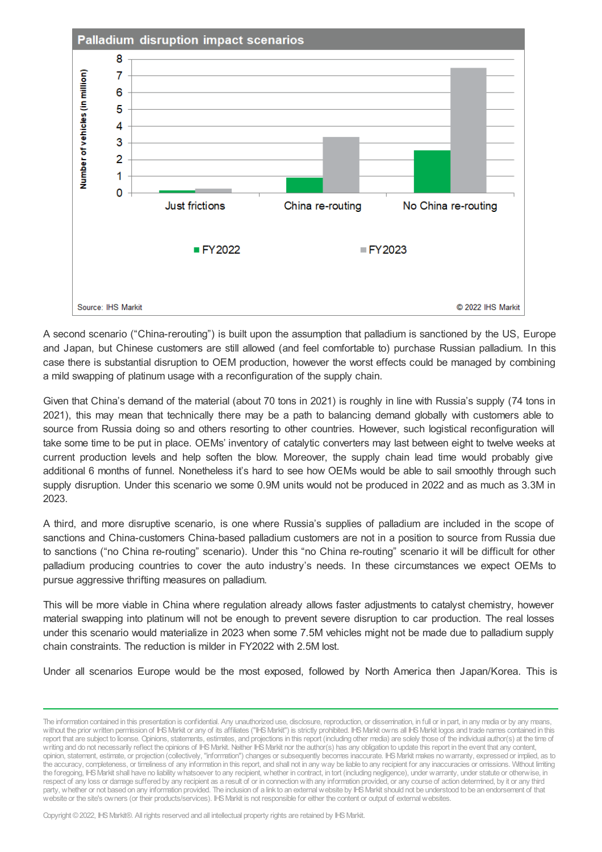

A second scenario ("China-rerouting") is built upon the assumption that palladium is sanctioned by the US, Europe and Japan, but Chinese customers are still allowed (and feel comfortable to) purchase Russian palladium. In this case there is substantial disruption to OEM production, however the worst effects could be managed by combining a mild swapping of platinum usage with a reconfiguration of the supply chain.

Given that China's demand of the material (about 70 tons in 2021) is roughly in line with Russia's supply (74 tons in 2021), this may mean that technically there may be a path to balancing demand globally with customers able to source from Russia doing so and others resorting to other countries. However, such logistical reconfiguration will take some time to be put in place. OEMs' inventory of catalytic converters may last between eight to twelve weeks at current production levels and help soften the blow. Moreover, the supply chain lead time would probably give additional 6 months of funnel. Nonetheless it's hard to see how OEMs would be able to sail smoothly through such supply disruption. Under this scenario we some 0.9M units would not be produced in 2022 and as much as 3.3M in 2023.

A third, and more disruptive scenario, is one where Russia's supplies of palladium are included in the scope of sanctions and China-customers China-based palladium customers are not in a position to source from Russia due to sanctions ("no China re-routing" scenario). Under this "no China re-routing" scenario it will be difficult for other palladium producing countries to cover the auto industry's needs. In these circumstances we expect OEMs to pursue aggressive thrifting measures on palladium.

This will be more viable in China where regulation already allows faster adjustments to catalyst chemistry, however material swapping into platinum will not be enough to prevent severe disruption to car production. The real losses under this scenario would materialize in 2023 when some 7.5M vehicles might not be made due to palladium supply chain constraints. The reduction is milder in FY2022 with 2.5M lost.

Under all scenarios Europe would be the most exposed, followed by North America then Japan/Korea. This is

The information contained in this presentation is confidential. Any unauthorized use, disclosure, reproduction, or dissemination, in full or in part, in any media or by any means, without the prior written permission of IHS Markit or any of its affiliates ("IHS Markit") is strictly prohibited. IHS Markit owns all IHS Markit logos and trade names contained in this report that are subject to license. Opinions, statements, estimates, and projections in this report (including other media) are solely those of the individual author(s) at the time of writing and do not necessarily reflect the opinions of IHS Markit. Neither IHS Markit nor the author(s) has any obligation to update this report in the event that any content, opinion, statement, estimate, or projection (collectively, "information") changes or subsequently becomes inaccurate. IHSMarkit makes nowarranty, expressed or implied, as to the accuracy, completeness, or timeliness of any information in this report, and shall not in any way be liable to any recipient for any inaccuracies or omissions. Without limiting the foregoing, IHSMarkit shall have no liability whatsoever to any recipient, whether in contract, in tort (including negligence), under warranty, under statute or otherwise, in respect of any loss or damage suffered by any recipient as a result of or in connectionwith any information provided, or any course of action determined, by it or any third party, whether or not based on any information provided. The inclusion of a link to an external website by IHS Markit should not be understood to be an endorsement of that website or the site's owners (or their products/services). IHS Markit is not responsible for either the content or output of external websites.